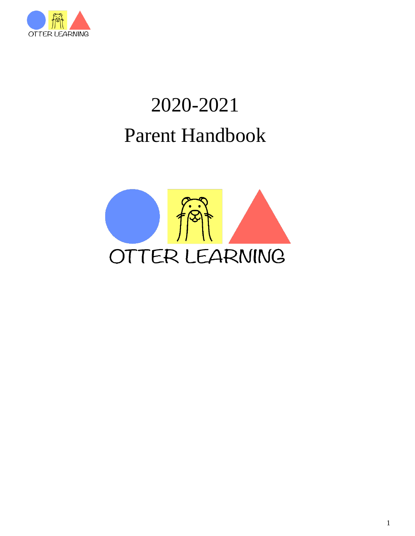

# 2020-2021 Parent Handbook

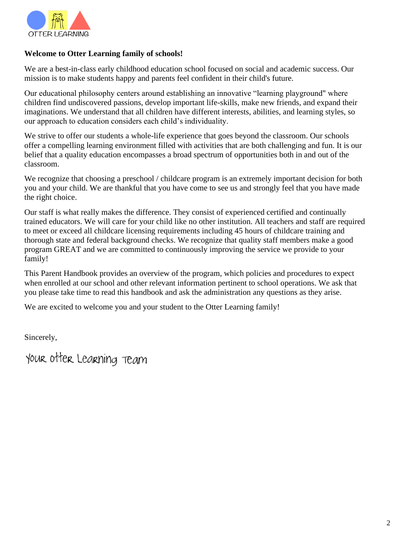

#### **Welcome to Otter Learning family of schools!**

We are a best-in-class early childhood education school focused on social and academic success. Our mission is to make students happy and parents feel confident in their child's future.

Our educational philosophy centers around establishing an innovative "learning playground" where children find undiscovered passions, develop important life-skills, make new friends, and expand their imaginations. We understand that all children have different interests, abilities, and learning styles, so our approach to education considers each child's individuality.

We strive to offer our students a whole-life experience that goes beyond the classroom. Our schools offer a compelling learning environment filled with activities that are both challenging and fun. It is our belief that a quality education encompasses a broad spectrum of opportunities both in and out of the classroom.

We recognize that choosing a preschool / childcare program is an extremely important decision for both you and your child. We are thankful that you have come to see us and strongly feel that you have made the right choice.

Our staff is what really makes the difference. They consist of experienced certified and continually trained educators. We will care for your child like no other institution. All teachers and staff are required to meet or exceed all childcare licensing requirements including 45 hours of childcare training and thorough state and federal background checks. We recognize that quality staff members make a good program GREAT and we are committed to continuously improving the service we provide to your family!

This Parent Handbook provides an overview of the program, which policies and procedures to expect when enrolled at our school and other relevant information pertinent to school operations. We ask that you please take time to read this handbook and ask the administration any questions as they arise.

We are excited to welcome you and your student to the Otter Learning family!

Sincerely,

your otter Learning team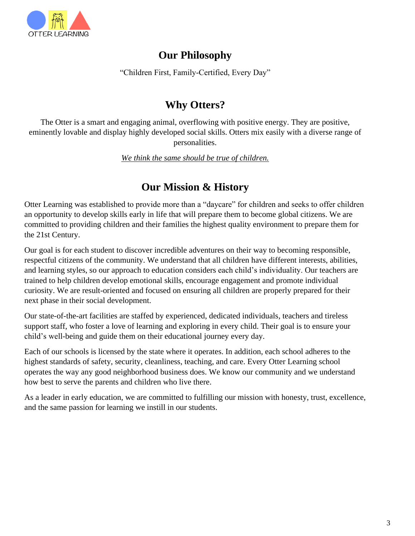

## **Our Philosophy**

"Children First, Family-Certified, Every Day"

### **Why Otters?**

The Otter is a smart and engaging animal, overflowing with positive energy. They are positive, eminently lovable and display highly developed social skills. Otters mix easily with a diverse range of personalities.

*We think the same should be true of children.*

# **Our Mission & History**

Otter Learning was established to provide more than a "daycare" for children and seeks to offer children an opportunity to develop skills early in life that will prepare them to become global citizens. We are committed to providing children and their families the highest quality environment to prepare them for the 21st Century.

Our goal is for each student to discover incredible adventures on their way to becoming responsible, respectful citizens of the community. We understand that all children have different interests, abilities, and learning styles, so our approach to education considers each child's individuality. Our teachers are trained to help children develop emotional skills, encourage engagement and promote individual curiosity. We are result-oriented and focused on ensuring all children are properly prepared for their next phase in their social development.

Our state-of-the-art facilities are staffed by experienced, dedicated individuals, teachers and tireless support staff, who foster a love of learning and exploring in every child. Their goal is to ensure your child's well-being and guide them on their educational journey every day.

Each of our schools is licensed by the state where it operates. In addition, each school adheres to the highest standards of safety, security, cleanliness, teaching, and care. Every Otter Learning school operates the way any good neighborhood business does. We know our community and we understand how best to serve the parents and children who live there.

As a leader in early education, we are committed to fulfilling our mission with honesty, trust, excellence, and the same passion for learning we instill in our students.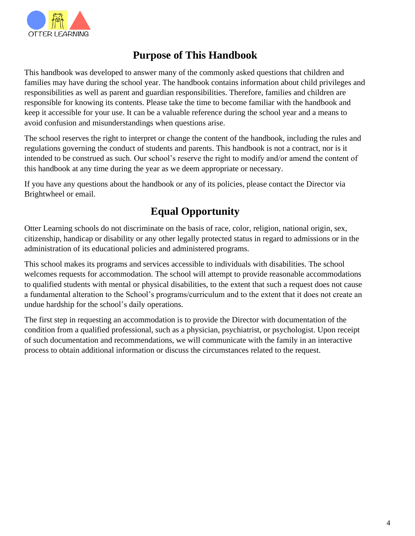

# **Purpose of This Handbook**

This handbook was developed to answer many of the commonly asked questions that children and families may have during the school year. The handbook contains information about child privileges and responsibilities as well as parent and guardian responsibilities. Therefore, families and children are responsible for knowing its contents. Please take the time to become familiar with the handbook and keep it accessible for your use. It can be a valuable reference during the school year and a means to avoid confusion and misunderstandings when questions arise.

The school reserves the right to interpret or change the content of the handbook, including the rules and regulations governing the conduct of students and parents. This handbook is not a contract, nor is it intended to be construed as such. Our school's reserve the right to modify and/or amend the content of this handbook at any time during the year as we deem appropriate or necessary.

If you have any questions about the handbook or any of its policies, please contact the Director via Brightwheel or email.

# **Equal Opportunity**

Otter Learning schools do not discriminate on the basis of race, color, religion, national origin, sex, citizenship, handicap or disability or any other legally protected status in regard to admissions or in the administration of its educational policies and administered programs.

This school makes its programs and services accessible to individuals with disabilities. The school welcomes requests for accommodation. The school will attempt to provide reasonable accommodations to qualified students with mental or physical disabilities, to the extent that such a request does not cause a fundamental alteration to the School's programs/curriculum and to the extent that it does not create an undue hardship for the school's daily operations.

The first step in requesting an accommodation is to provide the Director with documentation of the condition from a qualified professional, such as a physician, psychiatrist, or psychologist. Upon receipt of such documentation and recommendations, we will communicate with the family in an interactive process to obtain additional information or discuss the circumstances related to the request.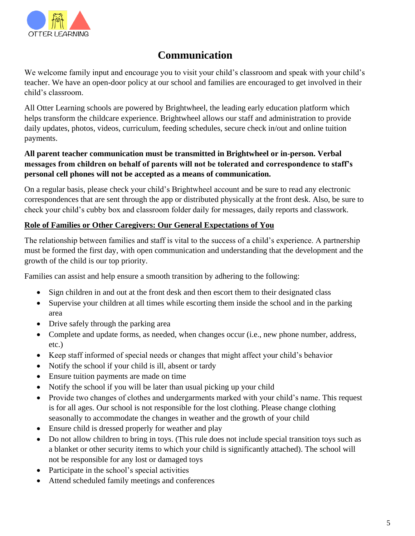

# **Communication**

We welcome family input and encourage you to visit your child's classroom and speak with your child's teacher. We have an open-door policy at our school and families are encouraged to get involved in their child's classroom.

All Otter Learning schools are powered by Brightwheel, the leading early education platform which helps transform the childcare experience. Brightwheel allows our staff and administration to provide daily updates, photos, videos, curriculum, feeding schedules, secure check in/out and online tuition payments.

#### **All parent teacher communication must be transmitted in Brightwheel or in-person. Verbal messages from children on behalf of parents will not be tolerated and correspondence to staff's personal cell phones will not be accepted as a means of communication.**

On a regular basis, please check your child's Brightwheel account and be sure to read any electronic correspondences that are sent through the app or distributed physically at the front desk. Also, be sure to check your child's cubby box and classroom folder daily for messages, daily reports and classwork.

#### **Role of Families or Other Caregivers: Our General Expectations of You**

The relationship between families and staff is vital to the success of a child's experience. A partnership must be formed the first day, with open communication and understanding that the development and the growth of the child is our top priority.

Families can assist and help ensure a smooth transition by adhering to the following:

- Sign children in and out at the front desk and then escort them to their designated class
- Supervise your children at all times while escorting them inside the school and in the parking area
- Drive safely through the parking area
- Complete and update forms, as needed, when changes occur (i.e., new phone number, address, etc.)
- Keep staff informed of special needs or changes that might affect your child's behavior
- Notify the school if your child is ill, absent or tardy
- Ensure tuition payments are made on time
- Notify the school if you will be later than usual picking up your child
- Provide two changes of clothes and undergarments marked with your child's name. This request is for all ages. Our school is not responsible for the lost clothing. Please change clothing seasonally to accommodate the changes in weather and the growth of your child
- Ensure child is dressed properly for weather and play
- Do not allow children to bring in toys. (This rule does not include special transition toys such as a blanket or other security items to which your child is significantly attached). The school will not be responsible for any lost or damaged toys
- Participate in the school's special activities
- Attend scheduled family meetings and conferences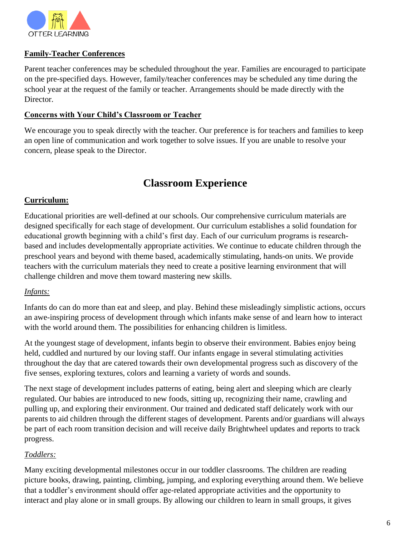

#### **Family-Teacher Conferences**

Parent teacher conferences may be scheduled throughout the year. Families are encouraged to participate on the pre-specified days. However, family/teacher conferences may be scheduled any time during the school year at the request of the family or teacher. Arrangements should be made directly with the Director.

#### **Concerns with Your Child's Classroom or Teacher**

We encourage you to speak directly with the teacher. Our preference is for teachers and families to keep an open line of communication and work together to solve issues. If you are unable to resolve your concern, please speak to the Director.

### **Classroom Experience**

#### **Curriculum:**

Educational priorities are well-defined at our schools. Our comprehensive curriculum materials are designed specifically for each stage of development. Our curriculum establishes a solid foundation for educational growth beginning with a child's first day. Each of our curriculum programs is researchbased and includes developmentally appropriate activities. We continue to educate children through the preschool years and beyond with theme based, academically stimulating, hands-on units. We provide teachers with the curriculum materials they need to create a positive learning environment that will challenge children and move them toward mastering new skills.

#### *Infants:*

Infants do can do more than eat and sleep, and play. Behind these misleadingly simplistic actions, occurs an awe-inspiring process of development through which infants make sense of and learn how to interact with the world around them. The possibilities for enhancing children is limitless.

At the youngest stage of development, infants begin to observe their environment. Babies enjoy being held, cuddled and nurtured by our loving staff. Our infants engage in several stimulating activities throughout the day that are catered towards their own developmental progress such as discovery of the five senses, exploring textures, colors and learning a variety of words and sounds.

The next stage of development includes patterns of eating, being alert and sleeping which are clearly regulated. Our babies are introduced to new foods, sitting up, recognizing their name, crawling and pulling up, and exploring their environment. Our trained and dedicated staff delicately work with our parents to aid children through the different stages of development. Parents and/or guardians will always be part of each room transition decision and will receive daily Brightwheel updates and reports to track progress.

#### *Toddlers:*

Many exciting developmental milestones occur in our toddler classrooms. The children are reading picture books, drawing, painting, climbing, jumping, and exploring everything around them. We believe that a toddler's environment should offer age-related appropriate activities and the opportunity to interact and play alone or in small groups. By allowing our children to learn in small groups, it gives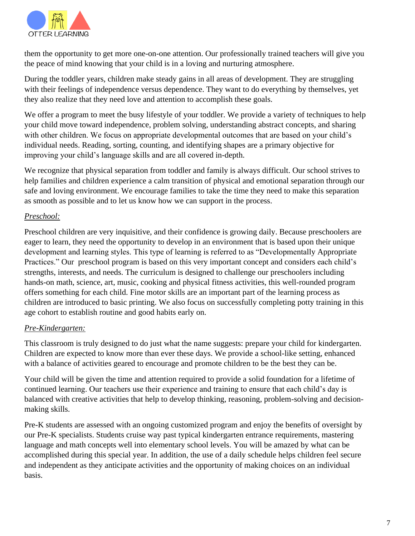

them the opportunity to get more one-on-one attention. Our professionally trained teachers will give you the peace of mind knowing that your child is in a loving and nurturing atmosphere.

During the toddler years, children make steady gains in all areas of development. They are struggling with their feelings of independence versus dependence. They want to do everything by themselves, yet they also realize that they need love and attention to accomplish these goals.

We offer a program to meet the busy lifestyle of your toddler. We provide a variety of techniques to help your child move toward independence, problem solving, understanding abstract concepts, and sharing with other children. We focus on appropriate developmental outcomes that are based on your child's individual needs. Reading, sorting, counting, and identifying shapes are a primary objective for improving your child's language skills and are all covered in-depth.

We recognize that physical separation from toddler and family is always difficult. Our school strives to help families and children experience a calm transition of physical and emotional separation through our safe and loving environment. We encourage families to take the time they need to make this separation as smooth as possible and to let us know how we can support in the process.

#### *Preschool:*

Preschool children are very inquisitive, and their confidence is growing daily. Because preschoolers are eager to learn, they need the opportunity to develop in an environment that is based upon their unique development and learning styles. This type of learning is referred to as "Developmentally Appropriate Practices." Our preschool program is based on this very important concept and considers each child's strengths, interests, and needs. The curriculum is designed to challenge our preschoolers including hands-on math, science, art, music, cooking and physical fitness activities, this well-rounded program offers something for each child. Fine motor skills are an important part of the learning process as children are introduced to basic printing. We also focus on successfully completing potty training in this age cohort to establish routine and good habits early on.

#### *Pre-Kindergarten:*

This classroom is truly designed to do just what the name suggests: prepare your child for kindergarten. Children are expected to know more than ever these days. We provide a school-like setting, enhanced with a balance of activities geared to encourage and promote children to be the best they can be.

Your child will be given the time and attention required to provide a solid foundation for a lifetime of continued learning. Our teachers use their experience and training to ensure that each child's day is balanced with creative activities that help to develop thinking, reasoning, problem-solving and decisionmaking skills.

Pre-K students are assessed with an ongoing customized program and enjoy the benefits of oversight by our Pre-K specialists. Students cruise way past typical kindergarten entrance requirements, mastering language and math concepts well into elementary school levels. You will be amazed by what can be accomplished during this special year. In addition, the use of a daily schedule helps children feel secure and independent as they anticipate activities and the opportunity of making choices on an individual basis.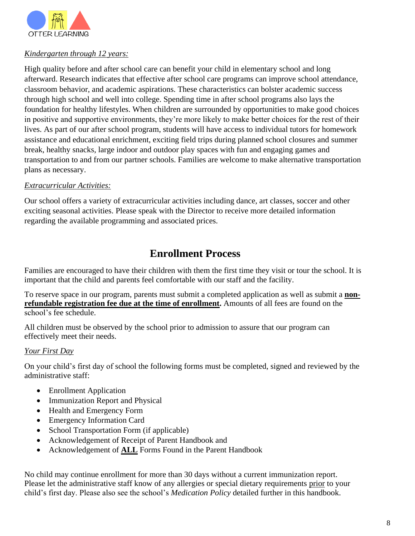

#### *Kindergarten through 12 years:*

High quality before and after school care can benefit your child in elementary school and long afterward. Research indicates that effective after school care programs can improve school attendance, classroom behavior, and academic aspirations. These characteristics can bolster academic success through high school and well into college. Spending time in after school programs also lays the foundation for healthy lifestyles. When children are surrounded by opportunities to make good choices in positive and supportive environments, they're more likely to make better choices for the rest of their lives. As part of our after school program, students will have access to individual tutors for homework assistance and educational enrichment, exciting field trips during planned school closures and summer break, healthy snacks, large indoor and outdoor play spaces with fun and engaging games and transportation to and from our partner schools. Families are welcome to make alternative transportation plans as necessary.

#### *Extracurricular Activities:*

Our school offers a variety of extracurricular activities including dance, art classes, soccer and other exciting seasonal activities. Please speak with the Director to receive more detailed information regarding the available programming and associated prices.

### **Enrollment Process**

Families are encouraged to have their children with them the first time they visit or tour the school. It is important that the child and parents feel comfortable with our staff and the facility.

To reserve space in our program, parents must submit a completed application as well as submit a **nonrefundable registration fee due at the time of enrollment.** Amounts of all fees are found on the school's fee schedule.

All children must be observed by the school prior to admission to assure that our program can effectively meet their needs.

#### *Your First Day*

On your child's first day of school the following forms must be completed, signed and reviewed by the administrative staff:

- Enrollment Application
- Immunization Report and Physical
- Health and Emergency Form
- Emergency Information Card
- School Transportation Form (if applicable)
- Acknowledgement of Receipt of Parent Handbook and
- Acknowledgement of **ALL** Forms Found in the Parent Handbook

No child may continue enrollment for more than 30 days without a current immunization report. Please let the administrative staff know of any allergies or special dietary requirements prior to your child's first day. Please also see the school's *Medication Policy* detailed further in this handbook.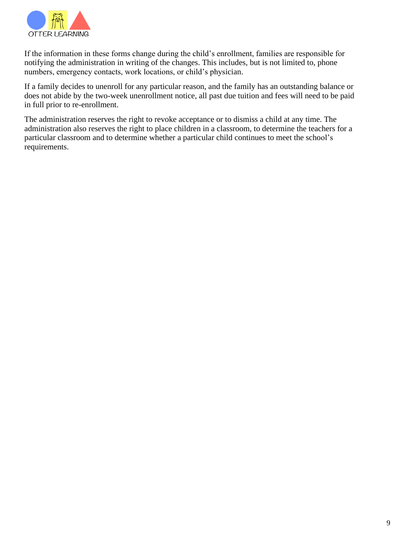

If the information in these forms change during the child's enrollment, families are responsible for notifying the administration in writing of the changes. This includes, but is not limited to, phone numbers, emergency contacts, work locations, or child's physician.

If a family decides to unenroll for any particular reason, and the family has an outstanding balance or does not abide by the two-week unenrollment notice, all past due tuition and fees will need to be paid in full prior to re-enrollment.

The administration reserves the right to revoke acceptance or to dismiss a child at any time. The administration also reserves the right to place children in a classroom, to determine the teachers for a particular classroom and to determine whether a particular child continues to meet the school's requirements.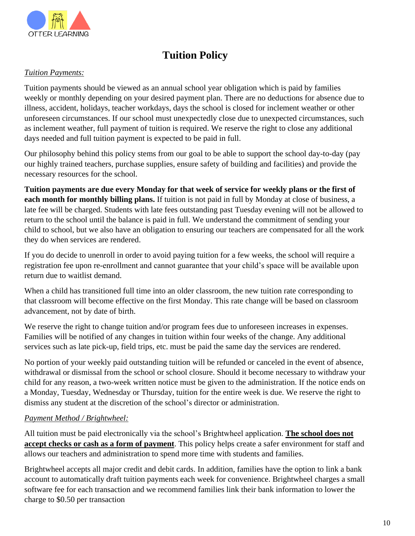

# **Tuition Policy**

#### *Tuition Payments:*

Tuition payments should be viewed as an annual school year obligation which is paid by families weekly or monthly depending on your desired payment plan. There are no deductions for absence due to illness, accident, holidays, teacher workdays, days the school is closed for inclement weather or other unforeseen circumstances. If our school must unexpectedly close due to unexpected circumstances, such as inclement weather, full payment of tuition is required. We reserve the right to close any additional days needed and full tuition payment is expected to be paid in full.

Our philosophy behind this policy stems from our goal to be able to support the school day-to-day (pay our highly trained teachers, purchase supplies, ensure safety of building and facilities) and provide the necessary resources for the school.

**Tuition payments are due every Monday for that week of service for weekly plans or the first of each month for monthly billing plans.** If tuition is not paid in full by Monday at close of business, a late fee will be charged. Students with late fees outstanding past Tuesday evening will not be allowed to return to the school until the balance is paid in full. We understand the commitment of sending your child to school, but we also have an obligation to ensuring our teachers are compensated for all the work they do when services are rendered.

If you do decide to unenroll in order to avoid paying tuition for a few weeks, the school will require a registration fee upon re-enrollment and cannot guarantee that your child's space will be available upon return due to waitlist demand.

When a child has transitioned full time into an older classroom, the new tuition rate corresponding to that classroom will become effective on the first Monday. This rate change will be based on classroom advancement, not by date of birth.

We reserve the right to change tuition and/or program fees due to unforeseen increases in expenses. Families will be notified of any changes in tuition within four weeks of the change. Any additional services such as late pick-up, field trips, etc. must be paid the same day the services are rendered.

No portion of your weekly paid outstanding tuition will be refunded or canceled in the event of absence, withdrawal or dismissal from the school or school closure. Should it become necessary to withdraw your child for any reason, a two-week written notice must be given to the administration. If the notice ends on a Monday, Tuesday, Wednesday or Thursday, tuition for the entire week is due. We reserve the right to dismiss any student at the discretion of the school's director or administration.

#### *Payment Method / Brightwheel:*

All tuition must be paid electronically via the school's Brightwheel application. **The school does not accept checks or cash as a form of payment**. This policy helps create a safer environment for staff and allows our teachers and administration to spend more time with students and families.

Brightwheel accepts all major credit and debit cards. In addition, families have the option to link a bank account to automatically draft tuition payments each week for convenience. Brightwheel charges a small software fee for each transaction and we recommend families link their bank information to lower the charge to \$0.50 per transaction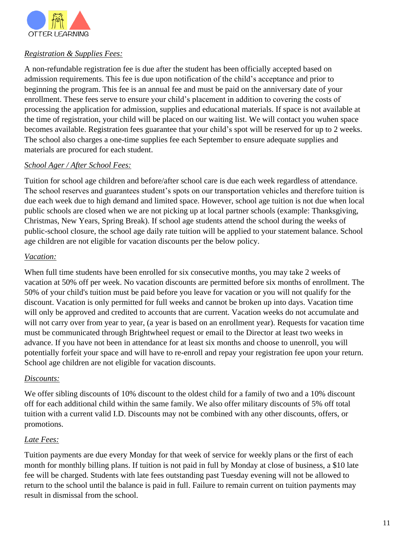

#### *Registration & Supplies Fees:*

A non-refundable registration fee is due after the student has been officially accepted based on admission requirements. This fee is due upon notification of the child's acceptance and prior to beginning the program. This fee is an annual fee and must be paid on the anniversary date of your enrollment. These fees serve to ensure your child's placement in addition to covering the costs of processing the application for admission, supplies and educational materials. If space is not available at the time of registration, your child will be placed on our waiting list. We will contact you wuhen space becomes available. Registration fees guarantee that your child's spot will be reserved for up to 2 weeks. The school also charges a one-time supplies fee each September to ensure adequate supplies and materials are procured for each student.

#### *School Ager / After School Fees:*

Tuition for school age children and before/after school care is due each week regardless of attendance. The school reserves and guarantees student's spots on our transportation vehicles and therefore tuition is due each week due to high demand and limited space. However, school age tuition is not due when local public schools are closed when we are not picking up at local partner schools (example: Thanksgiving, Christmas, New Years, Spring Break). If school age students attend the school during the weeks of public-school closure, the school age daily rate tuition will be applied to your statement balance. School age children are not eligible for vacation discounts per the below policy.

#### *Vacation:*

When full time students have been enrolled for six consecutive months, you may take 2 weeks of vacation at 50% off per week. No vacation discounts are permitted before six months of enrollment. The 50% of your child's tuition must be paid before you leave for vacation or you will not qualify for the discount. Vacation is only permitted for full weeks and cannot be broken up into days. Vacation time will only be approved and credited to accounts that are current. Vacation weeks do not accumulate and will not carry over from year to year, (a year is based on an enrollment year). Requests for vacation time must be communicated through Brightwheel request or email to the Director at least two weeks in advance. If you have not been in attendance for at least six months and choose to unenroll, you will potentially forfeit your space and will have to re-enroll and repay your registration fee upon your return. School age children are not eligible for vacation discounts.

#### *Discounts:*

We offer sibling discounts of 10% discount to the oldest child for a family of two and a 10% discount off for each additional child within the same family. We also offer military discounts of 5% off total tuition with a current valid I.D. Discounts may not be combined with any other discounts, offers, or promotions.

#### *Late Fees:*

Tuition payments are due every Monday for that week of service for weekly plans or the first of each month for monthly billing plans. If tuition is not paid in full by Monday at close of business, a \$10 late fee will be charged. Students with late fees outstanding past Tuesday evening will not be allowed to return to the school until the balance is paid in full. Failure to remain current on tuition payments may result in dismissal from the school.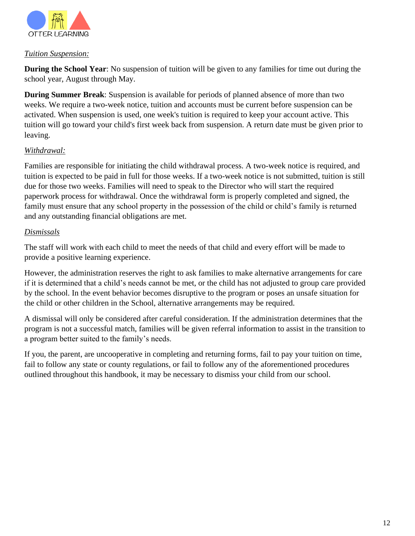

#### *Tuition Suspension:*

**During the School Year**: No suspension of tuition will be given to any families for time out during the school year, August through May.

**During Summer Break**: Suspension is available for periods of planned absence of more than two weeks. We require a two-week notice, tuition and accounts must be current before suspension can be activated. When suspension is used, one week's tuition is required to keep your account active. This tuition will go toward your child's first week back from suspension. A return date must be given prior to leaving.

#### *Withdrawal:*

Families are responsible for initiating the child withdrawal process. A two-week notice is required, and tuition is expected to be paid in full for those weeks. If a two-week notice is not submitted, tuition is still due for those two weeks. Families will need to speak to the Director who will start the required paperwork process for withdrawal. Once the withdrawal form is properly completed and signed, the family must ensure that any school property in the possession of the child or child's family is returned and any outstanding financial obligations are met.

#### *Dismissals*

The staff will work with each child to meet the needs of that child and every effort will be made to provide a positive learning experience.

However, the administration reserves the right to ask families to make alternative arrangements for care if it is determined that a child's needs cannot be met, or the child has not adjusted to group care provided by the school. In the event behavior becomes disruptive to the program or poses an unsafe situation for the child or other children in the School, alternative arrangements may be required.

A dismissal will only be considered after careful consideration. If the administration determines that the program is not a successful match, families will be given referral information to assist in the transition to a program better suited to the family's needs.

If you, the parent, are uncooperative in completing and returning forms, fail to pay your tuition on time, fail to follow any state or county regulations, or fail to follow any of the aforementioned procedures outlined throughout this handbook, it may be necessary to dismiss your child from our school.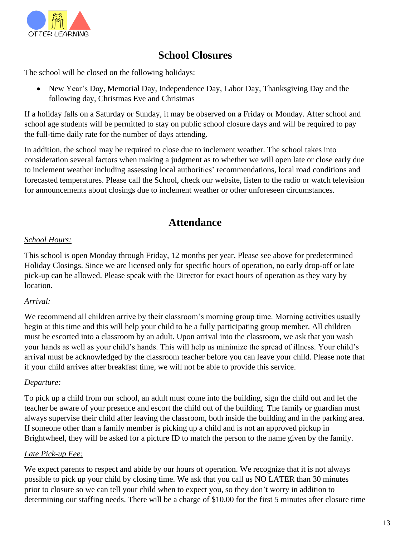

### **School Closures**

The school will be closed on the following holidays:

• New Year's Day, Memorial Day, Independence Day, Labor Day, Thanksgiving Day and the following day, Christmas Eve and Christmas

If a holiday falls on a Saturday or Sunday, it may be observed on a Friday or Monday. After school and school age students will be permitted to stay on public school closure days and will be required to pay the full-time daily rate for the number of days attending.

In addition, the school may be required to close due to inclement weather. The school takes into consideration several factors when making a judgment as to whether we will open late or close early due to inclement weather including assessing local authorities' recommendations, local road conditions and forecasted temperatures. Please call the School, check our website, listen to the radio or watch television for announcements about closings due to inclement weather or other unforeseen circumstances.

### **Attendance**

#### *School Hours:*

This school is open Monday through Friday, 12 months per year. Please see above for predetermined Holiday Closings. Since we are licensed only for specific hours of operation, no early drop-off or late pick-up can be allowed. Please speak with the Director for exact hours of operation as they vary by location.

#### *Arrival:*

We recommend all children arrive by their classroom's morning group time. Morning activities usually begin at this time and this will help your child to be a fully participating group member. All children must be escorted into a classroom by an adult. Upon arrival into the classroom, we ask that you wash your hands as well as your child's hands. This will help us minimize the spread of illness. Your child's arrival must be acknowledged by the classroom teacher before you can leave your child. Please note that if your child arrives after breakfast time, we will not be able to provide this service.

#### *Departure:*

To pick up a child from our school, an adult must come into the building, sign the child out and let the teacher be aware of your presence and escort the child out of the building. The family or guardian must always supervise their child after leaving the classroom, both inside the building and in the parking area. If someone other than a family member is picking up a child and is not an approved pickup in Brightwheel, they will be asked for a picture ID to match the person to the name given by the family.

#### *Late Pick-up Fee:*

We expect parents to respect and abide by our hours of operation. We recognize that it is not always possible to pick up your child by closing time. We ask that you call us NO LATER than 30 minutes prior to closure so we can tell your child when to expect you, so they don't worry in addition to determining our staffing needs. There will be a charge of \$10.00 for the first 5 minutes after closure time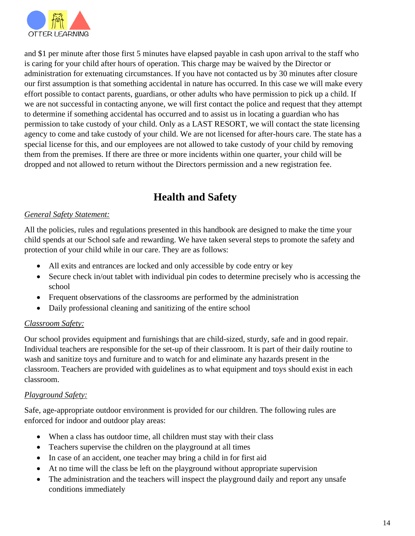

and \$1 per minute after those first 5 minutes have elapsed payable in cash upon arrival to the staff who is caring for your child after hours of operation. This charge may be waived by the Director or administration for extenuating circumstances. If you have not contacted us by 30 minutes after closure our first assumption is that something accidental in nature has occurred. In this case we will make every effort possible to contact parents, guardians, or other adults who have permission to pick up a child. If we are not successful in contacting anyone, we will first contact the police and request that they attempt to determine if something accidental has occurred and to assist us in locating a guardian who has permission to take custody of your child. Only as a LAST RESORT, we will contact the state licensing agency to come and take custody of your child. We are not licensed for after-hours care. The state has a special license for this, and our employees are not allowed to take custody of your child by removing them from the premises. If there are three or more incidents within one quarter, your child will be dropped and not allowed to return without the Directors permission and a new registration fee.

# **Health and Safety**

#### *General Safety Statement:*

All the policies, rules and regulations presented in this handbook are designed to make the time your child spends at our School safe and rewarding. We have taken several steps to promote the safety and protection of your child while in our care. They are as follows:

- All exits and entrances are locked and only accessible by code entry or key
- Secure check in/out tablet with individual pin codes to determine precisely who is accessing the school
- Frequent observations of the classrooms are performed by the administration
- Daily professional cleaning and sanitizing of the entire school

#### *Classroom Safety:*

Our school provides equipment and furnishings that are child-sized, sturdy, safe and in good repair. Individual teachers are responsible for the set-up of their classroom. It is part of their daily routine to wash and sanitize toys and furniture and to watch for and eliminate any hazards present in the classroom. Teachers are provided with guidelines as to what equipment and toys should exist in each classroom.

#### *Playground Safety:*

Safe, age-appropriate outdoor environment is provided for our children. The following rules are enforced for indoor and outdoor play areas:

- When a class has outdoor time, all children must stay with their class
- Teachers supervise the children on the playground at all times
- In case of an accident, one teacher may bring a child in for first aid
- At no time will the class be left on the playground without appropriate supervision
- The administration and the teachers will inspect the playground daily and report any unsafe conditions immediately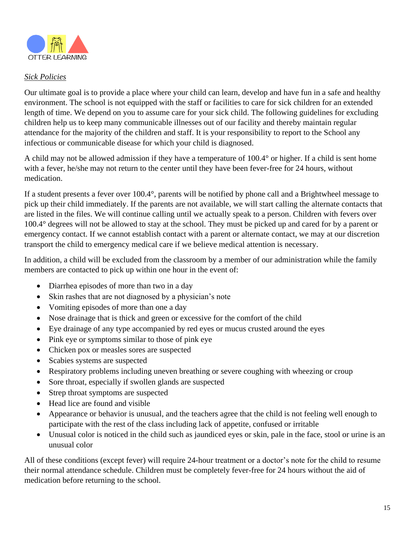

#### *Sick Policies*

Our ultimate goal is to provide a place where your child can learn, develop and have fun in a safe and healthy environment. The school is not equipped with the staff or facilities to care for sick children for an extended length of time. We depend on you to assume care for your sick child. The following guidelines for excluding children help us to keep many communicable illnesses out of our facility and thereby maintain regular attendance for the majority of the children and staff. It is your responsibility to report to the School any infectious or communicable disease for which your child is diagnosed.

A child may not be allowed admission if they have a temperature of 100.4° or higher. If a child is sent home with a fever, he/she may not return to the center until they have been fever-free for 24 hours, without medication.

If a student presents a fever over 100.4°, parents will be notified by phone call and a Brightwheel message to pick up their child immediately. If the parents are not available, we will start calling the alternate contacts that are listed in the files. We will continue calling until we actually speak to a person. Children with fevers over 100.4° degrees will not be allowed to stay at the school. They must be picked up and cared for by a parent or emergency contact. If we cannot establish contact with a parent or alternate contact, we may at our discretion transport the child to emergency medical care if we believe medical attention is necessary.

In addition, a child will be excluded from the classroom by a member of our administration while the family members are contacted to pick up within one hour in the event of:

- Diarrhea episodes of more than two in a day
- Skin rashes that are not diagnosed by a physician's note
- Vomiting episodes of more than one a day
- Nose drainage that is thick and green or excessive for the comfort of the child
- Eye drainage of any type accompanied by red eyes or mucus crusted around the eyes
- Pink eye or symptoms similar to those of pink eye
- Chicken pox or measles sores are suspected
- Scabies systems are suspected
- Respiratory problems including uneven breathing or severe coughing with wheezing or croup
- Sore throat, especially if swollen glands are suspected
- Strep throat symptoms are suspected
- Head lice are found and visible
- Appearance or behavior is unusual, and the teachers agree that the child is not feeling well enough to participate with the rest of the class including lack of appetite, confused or irritable
- Unusual color is noticed in the child such as jaundiced eyes or skin, pale in the face, stool or urine is an unusual color

All of these conditions (except fever) will require 24-hour treatment or a doctor's note for the child to resume their normal attendance schedule. Children must be completely fever-free for 24 hours without the aid of medication before returning to the school.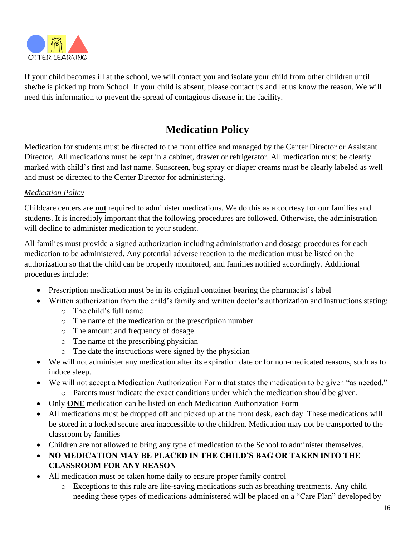

If your child becomes ill at the school, we will contact you and isolate your child from other children until she/he is picked up from School. If your child is absent, please contact us and let us know the reason. We will need this information to prevent the spread of contagious disease in the facility.

# **Medication Policy**

Medication for students must be directed to the front office and managed by the Center Director or Assistant Director. All medications must be kept in a cabinet, drawer or refrigerator. All medication must be clearly marked with child's first and last name. Sunscreen, bug spray or diaper creams must be clearly labeled as well and must be directed to the Center Director for administering.

#### *Medication Policy*

Childcare centers are **not** required to administer medications. We do this as a courtesy for our families and students. It is incredibly important that the following procedures are followed. Otherwise, the administration will decline to administer medication to your student.

All families must provide a signed authorization including administration and dosage procedures for each medication to be administered. Any potential adverse reaction to the medication must be listed on the authorization so that the child can be properly monitored, and families notified accordingly. Additional procedures include:

- Prescription medication must be in its original container bearing the pharmacist's label
- Written authorization from the child's family and written doctor's authorization and instructions stating:
	- o The child's full name
	- o The name of the medication or the prescription number
	- o The amount and frequency of dosage
	- o The name of the prescribing physician
	- o The date the instructions were signed by the physician
- We will not administer any medication after its expiration date or for non-medicated reasons, such as to induce sleep.
- We will not accept a Medication Authorization Form that states the medication to be given "as needed."
	- o Parents must indicate the exact conditions under which the medication should be given.
- Only **ONE** medication can be listed on each Medication Authorization Form
- All medications must be dropped off and picked up at the front desk, each day. These medications will be stored in a locked secure area inaccessible to the children. Medication may not be transported to the classroom by families
- Children are not allowed to bring any type of medication to the School to administer themselves.
- **NO MEDICATION MAY BE PLACED IN THE CHILD'S BAG OR TAKEN INTO THE CLASSROOM FOR ANY REASON**
- All medication must be taken home daily to ensure proper family control
	- o Exceptions to this rule are life-saving medications such as breathing treatments. Any child needing these types of medications administered will be placed on a "Care Plan" developed by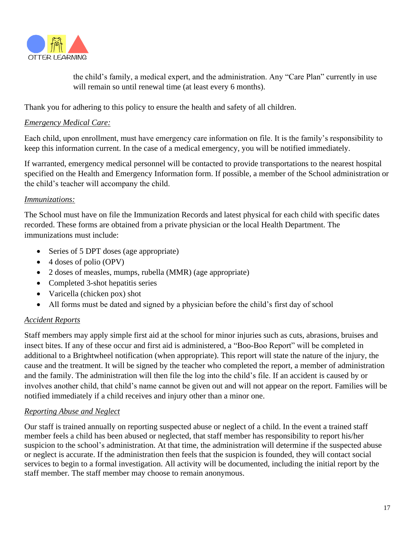

the child's family, a medical expert, and the administration. Any "Care Plan" currently in use will remain so until renewal time (at least every 6 months).

Thank you for adhering to this policy to ensure the health and safety of all children.

#### *Emergency Medical Care:*

Each child, upon enrollment, must have emergency care information on file. It is the family's responsibility to keep this information current. In the case of a medical emergency, you will be notified immediately.

If warranted, emergency medical personnel will be contacted to provide transportations to the nearest hospital specified on the Health and Emergency Information form. If possible, a member of the School administration or the child's teacher will accompany the child.

#### *Immunizations:*

The School must have on file the Immunization Records and latest physical for each child with specific dates recorded. These forms are obtained from a private physician or the local Health Department. The immunizations must include:

- Series of 5 DPT doses (age appropriate)
- 4 doses of polio (OPV)
- 2 doses of measles, mumps, rubella (MMR) (age appropriate)
- Completed 3-shot hepatitis series
- Varicella (chicken pox) shot
- All forms must be dated and signed by a physician before the child's first day of school

#### *Accident Reports*

Staff members may apply simple first aid at the school for minor injuries such as cuts, abrasions, bruises and insect bites. If any of these occur and first aid is administered, a "Boo-Boo Report" will be completed in additional to a Brightwheel notification (when appropriate). This report will state the nature of the injury, the cause and the treatment. It will be signed by the teacher who completed the report, a member of administration and the family. The administration will then file the log into the child's file. If an accident is caused by or involves another child, that child's name cannot be given out and will not appear on the report. Families will be notified immediately if a child receives and injury other than a minor one.

#### *Reporting Abuse and Neglect*

Our staff is trained annually on reporting suspected abuse or neglect of a child. In the event a trained staff member feels a child has been abused or neglected, that staff member has responsibility to report his/her suspicion to the school's administration. At that time, the administration will determine if the suspected abuse or neglect is accurate. If the administration then feels that the suspicion is founded, they will contact social services to begin to a formal investigation. All activity will be documented, including the initial report by the staff member. The staff member may choose to remain anonymous.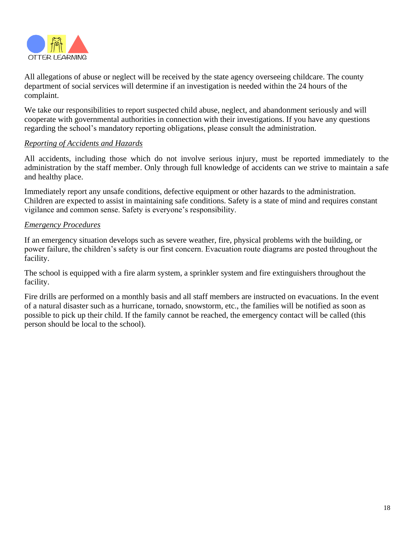

All allegations of abuse or neglect will be received by the state agency overseeing childcare. The county department of social services will determine if an investigation is needed within the 24 hours of the complaint.

We take our responsibilities to report suspected child abuse, neglect, and abandonment seriously and will cooperate with governmental authorities in connection with their investigations. If you have any questions regarding the school's mandatory reporting obligations, please consult the administration.

#### *Reporting of Accidents and Hazards*

All accidents, including those which do not involve serious injury, must be reported immediately to the administration by the staff member. Only through full knowledge of accidents can we strive to maintain a safe and healthy place.

Immediately report any unsafe conditions, defective equipment or other hazards to the administration. Children are expected to assist in maintaining safe conditions. Safety is a state of mind and requires constant vigilance and common sense. Safety is everyone's responsibility.

#### *Emergency Procedures*

If an emergency situation develops such as severe weather, fire, physical problems with the building, or power failure, the children's safety is our first concern. Evacuation route diagrams are posted throughout the facility.

The school is equipped with a fire alarm system, a sprinkler system and fire extinguishers throughout the facility.

Fire drills are performed on a monthly basis and all staff members are instructed on evacuations. In the event of a natural disaster such as a hurricane, tornado, snowstorm, etc., the families will be notified as soon as possible to pick up their child. If the family cannot be reached, the emergency contact will be called (this person should be local to the school).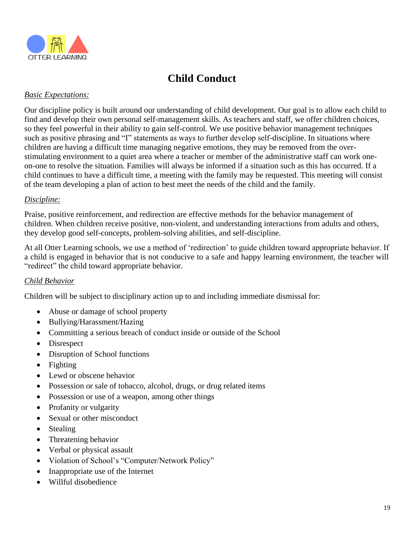

# **Child Conduct**

#### *Basic Expectations:*

Our discipline policy is built around our understanding of child development. Our goal is to allow each child to find and develop their own personal self-management skills. As teachers and staff, we offer children choices, so they feel powerful in their ability to gain self-control. We use positive behavior management techniques such as positive phrasing and "I" statements as ways to further develop self-discipline. In situations where children are having a difficult time managing negative emotions, they may be removed from the overstimulating environment to a quiet area where a teacher or member of the administrative staff can work oneon-one to resolve the situation. Families will always be informed if a situation such as this has occurred. If a child continues to have a difficult time, a meeting with the family may be requested. This meeting will consist of the team developing a plan of action to best meet the needs of the child and the family.

#### *Discipline:*

Praise, positive reinforcement, and redirection are effective methods for the behavior management of children. When children receive positive, non-violent, and understanding interactions from adults and others, they develop good self-concepts, problem-solving abilities, and self-discipline.

At all Otter Learning schools, we use a method of 'redirection' to guide children toward appropriate behavior. If a child is engaged in behavior that is not conducive to a safe and happy learning environment, the teacher will "redirect" the child toward appropriate behavior.

#### *Child Behavior*

Children will be subject to disciplinary action up to and including immediate dismissal for:

- Abuse or damage of school property
- Bullying/Harassment/Hazing
- Committing a serious breach of conduct inside or outside of the School
- Disrespect
- Disruption of School functions
- **Fighting**
- Lewd or obscene behavior
- Possession or sale of tobacco, alcohol, drugs, or drug related items
- Possession or use of a weapon, among other things
- Profanity or vulgarity
- Sexual or other misconduct
- Stealing
- Threatening behavior
- Verbal or physical assault
- Violation of School's "Computer/Network Policy"
- Inappropriate use of the Internet
- Willful disobedience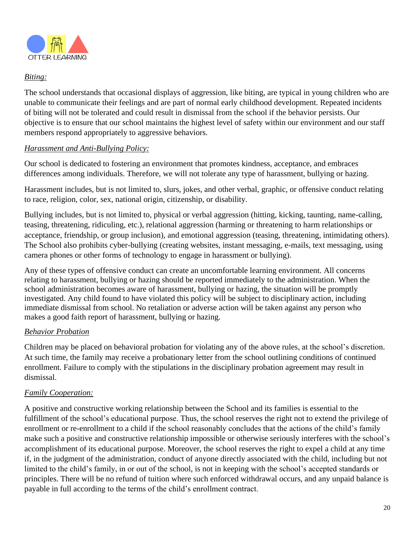

#### *Biting:*

The school understands that occasional displays of aggression, like biting, are typical in young children who are unable to communicate their feelings and are part of normal early childhood development. Repeated incidents of biting will not be tolerated and could result in dismissal from the school if the behavior persists. Our objective is to ensure that our school maintains the highest level of safety within our environment and our staff members respond appropriately to aggressive behaviors.

#### *Harassment and Anti-Bullying Policy:*

Our school is dedicated to fostering an environment that promotes kindness, acceptance, and embraces differences among individuals. Therefore, we will not tolerate any type of harassment, bullying or hazing.

Harassment includes, but is not limited to, slurs, jokes, and other verbal, graphic, or offensive conduct relating to race, religion, color, sex, national origin, citizenship, or disability.

Bullying includes, but is not limited to, physical or verbal aggression (hitting, kicking, taunting, name-calling, teasing, threatening, ridiculing, etc.), relational aggression (harming or threatening to harm relationships or acceptance, friendship, or group inclusion), and emotional aggression (teasing, threatening, intimidating others). The School also prohibits cyber-bullying (creating websites, instant messaging, e-mails, text messaging, using camera phones or other forms of technology to engage in harassment or bullying).

Any of these types of offensive conduct can create an uncomfortable learning environment. All concerns relating to harassment, bullying or hazing should be reported immediately to the administration. When the school administration becomes aware of harassment, bullying or hazing, the situation will be promptly investigated. Any child found to have violated this policy will be subject to disciplinary action, including immediate dismissal from school. No retaliation or adverse action will be taken against any person who makes a good faith report of harassment, bullying or hazing.

#### *Behavior Probation*

Children may be placed on behavioral probation for violating any of the above rules, at the school's discretion. At such time, the family may receive a probationary letter from the school outlining conditions of continued enrollment. Failure to comply with the stipulations in the disciplinary probation agreement may result in dismissal.

#### *Family Cooperation:*

A positive and constructive working relationship between the School and its families is essential to the fulfillment of the school's educational purpose. Thus, the school reserves the right not to extend the privilege of enrollment or re-enrollment to a child if the school reasonably concludes that the actions of the child's family make such a positive and constructive relationship impossible or otherwise seriously interferes with the school's accomplishment of its educational purpose. Moreover, the school reserves the right to expel a child at any time if, in the judgment of the administration, conduct of anyone directly associated with the child, including but not limited to the child's family, in or out of the school, is not in keeping with the school's accepted standards or principles. There will be no refund of tuition where such enforced withdrawal occurs, and any unpaid balance is payable in full according to the terms of the child's enrollment contract.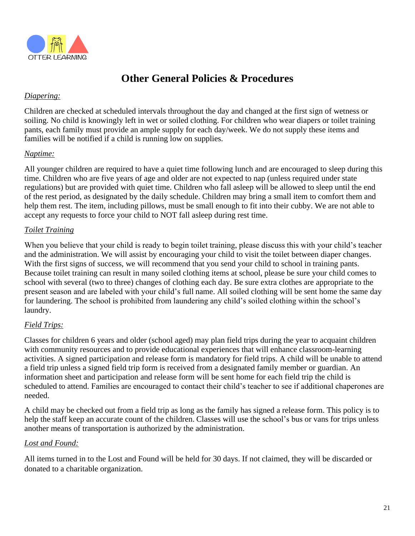

# **Other General Policies & Procedures**

#### *Diapering:*

Children are checked at scheduled intervals throughout the day and changed at the first sign of wetness or soiling. No child is knowingly left in wet or soiled clothing. For children who wear diapers or toilet training pants, each family must provide an ample supply for each day/week. We do not supply these items and families will be notified if a child is running low on supplies.

#### *Naptime:*

All younger children are required to have a quiet time following lunch and are encouraged to sleep during this time. Children who are five years of age and older are not expected to nap (unless required under state regulations) but are provided with quiet time. Children who fall asleep will be allowed to sleep until the end of the rest period, as designated by the daily schedule. Children may bring a small item to comfort them and help them rest. The item, including pillows, must be small enough to fit into their cubby. We are not able to accept any requests to force your child to NOT fall asleep during rest time.

#### *Toilet Training*

When you believe that your child is ready to begin toilet training, please discuss this with your child's teacher and the administration. We will assist by encouraging your child to visit the toilet between diaper changes. With the first signs of success, we will recommend that you send your child to school in training pants. Because toilet training can result in many soiled clothing items at school, please be sure your child comes to school with several (two to three) changes of clothing each day. Be sure extra clothes are appropriate to the present season and are labeled with your child's full name. All soiled clothing will be sent home the same day for laundering. The school is prohibited from laundering any child's soiled clothing within the school's laundry.

#### *Field Trips:*

Classes for children 6 years and older (school aged) may plan field trips during the year to acquaint children with community resources and to provide educational experiences that will enhance classroom-learning activities. A signed participation and release form is mandatory for field trips. A child will be unable to attend a field trip unless a signed field trip form is received from a designated family member or guardian. An information sheet and participation and release form will be sent home for each field trip the child is scheduled to attend. Families are encouraged to contact their child's teacher to see if additional chaperones are needed.

A child may be checked out from a field trip as long as the family has signed a release form. This policy is to help the staff keep an accurate count of the children. Classes will use the school's bus or vans for trips unless another means of transportation is authorized by the administration.

#### *Lost and Found:*

All items turned in to the Lost and Found will be held for 30 days. If not claimed, they will be discarded or donated to a charitable organization.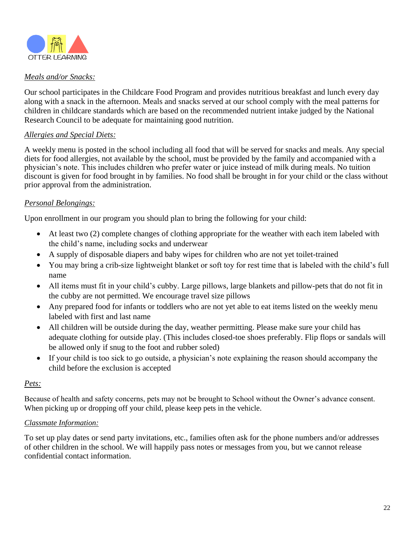

#### *Meals and/or Snacks:*

Our school participates in the Childcare Food Program and provides nutritious breakfast and lunch every day along with a snack in the afternoon. Meals and snacks served at our school comply with the meal patterns for children in childcare standards which are based on the recommended nutrient intake judged by the National Research Council to be adequate for maintaining good nutrition.

#### *Allergies and Special Diets:*

A weekly menu is posted in the school including all food that will be served for snacks and meals. Any special diets for food allergies, not available by the school, must be provided by the family and accompanied with a physician's note. This includes children who prefer water or juice instead of milk during meals. No tuition discount is given for food brought in by families. No food shall be brought in for your child or the class without prior approval from the administration.

#### *Personal Belongings:*

Upon enrollment in our program you should plan to bring the following for your child:

- At least two (2) complete changes of clothing appropriate for the weather with each item labeled with the child's name, including socks and underwear
- A supply of disposable diapers and baby wipes for children who are not yet toilet-trained
- You may bring a crib-size lightweight blanket or soft toy for rest time that is labeled with the child's full name
- All items must fit in your child's cubby. Large pillows, large blankets and pillow-pets that do not fit in the cubby are not permitted. We encourage travel size pillows
- Any prepared food for infants or toddlers who are not yet able to eat items listed on the weekly menu labeled with first and last name
- All children will be outside during the day, weather permitting. Please make sure your child has adequate clothing for outside play. (This includes closed-toe shoes preferably. Flip flops or sandals will be allowed only if snug to the foot and rubber soled)
- If your child is too sick to go outside, a physician's note explaining the reason should accompany the child before the exclusion is accepted

#### *Pets:*

Because of health and safety concerns, pets may not be brought to School without the Owner's advance consent. When picking up or dropping off your child, please keep pets in the vehicle.

#### *Classmate Information:*

To set up play dates or send party invitations, etc., families often ask for the phone numbers and/or addresses of other children in the school. We will happily pass notes or messages from you, but we cannot release confidential contact information.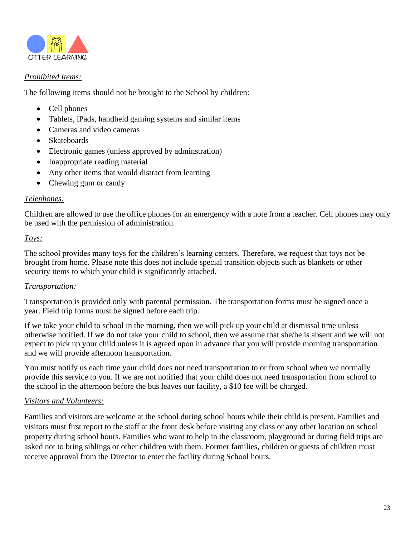

#### *Prohibited Items:*

The following items should not be brought to the School by children:

- Cell phones
- Tablets, iPads, handheld gaming systems and similar items
- Cameras and video cameras
- Skateboards
- Electronic games (unless approved by adminitration)
- Inappropriate reading material
- Any other items that would distract from learning
- Chewing gum or candy

#### *Telephones:*

Children are allowed to use the office phones for an emergency with a note from a teacher. Cell phones may only be used with the permission of administration.

#### *Toys:*

The school provides many toys for the children's learning centers. Therefore, we request that toys not be brought from home. Please note this does not include special transition objects such as blankets or other security items to which your child is significantly attached.

#### *Transportation:*

Transportation is provided only with parental permission. The transportation forms must be signed once a year. Field trip forms must be signed before each trip.

If we take your child to school in the morning, then we will pick up your child at dismissal time unless otherwise notified. If we do not take your child to school, then we assume that she/he is absent and we will not expect to pick up your child unless it is agreed upon in advance that you will provide morning transportation and we will provide afternoon transportation.

You must notify us each time your child does not need transportation to or from school when we normally provide this service to you. If we are not notified that your child does not need transportation from school to the school in the afternoon before the bus leaves our facility, a \$10 fee will be charged.

#### *Visitors and Volunteers:*

Families and visitors are welcome at the school during school hours while their child is present. Families and visitors must first report to the staff at the front desk before visiting any class or any other location on school property during school hours. Families who want to help in the classroom, playground or during field trips are asked not to bring siblings or other children with them. Former families, children or guests of children must receive approval from the Director to enter the facility during School hours.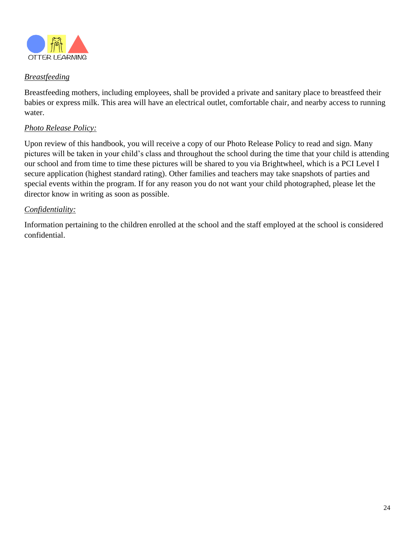

#### *Breastfeeding*

Breastfeeding mothers, including employees, shall be provided a private and sanitary place to breastfeed their babies or express milk. This area will have an electrical outlet, comfortable chair, and nearby access to running water.

#### *Photo Release Policy:*

Upon review of this handbook, you will receive a copy of our Photo Release Policy to read and sign. Many pictures will be taken in your child's class and throughout the school during the time that your child is attending our school and from time to time these pictures will be shared to you via Brightwheel, which is a PCI Level I secure application (highest standard rating). Other families and teachers may take snapshots of parties and special events within the program. If for any reason you do not want your child photographed, please let the director know in writing as soon as possible.

#### *Confidentiality:*

Information pertaining to the children enrolled at the school and the staff employed at the school is considered confidential.